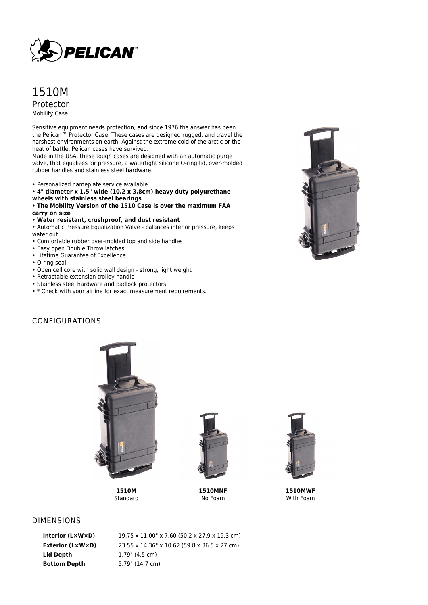

# 1510M Protector Mobility Case

Sensitive equipment needs protection, and since 1976 the answer has been the Pelican™ Protector Case. These cases are designed rugged, and travel the harshest environments on earth. Against the extreme cold of the arctic or the heat of battle, Pelican cases have survived.

Made in the USA, these tough cases are designed with an automatic purge valve, that equalizes air pressure, a watertight silicone O-ring lid, over-molded rubber handles and stainless steel hardware.

- Personalized nameplate service available
- **4" diameter x 1.5" wide (10.2 x 3.8cm) heavy duty polyurethane wheels with stainless steel bearings**
- **The Mobility Version of the 1510 Case is over the maximum FAA**
- **carry on size**
- **Water resistant, crushproof, and dust resistant**
- Automatic Pressure Equalization Valve balances interior pressure, keeps water out
- Comfortable rubber over-molded top and side handles
- Easy open Double Throw latches
- Lifetime Guarantee of Excellence
- O-ring seal
- Open cell core with solid wall design strong, light weight
- Retractable extension trolley handle
- Stainless steel hardware and padlock protectors
- \* Check with your airline for exact measurement requirements.



# CONFIGURATIONS



**1510M Standard** 



**1510MNF** No Foam



**1510MWF** With Foam

#### DIMENSIONS

**Lid Depth** 1.79" (4.5 cm) **Bottom Depth** 5.79" (14.7 cm)

**Interior (L×W×D)** 19.75 x 11.00" x 7.60 (50.2 x 27.9 x 19.3 cm) **Exterior (L×W×D)** 23.55 x 14.36" x 10.62 (59.8 x 36.5 x 27 cm)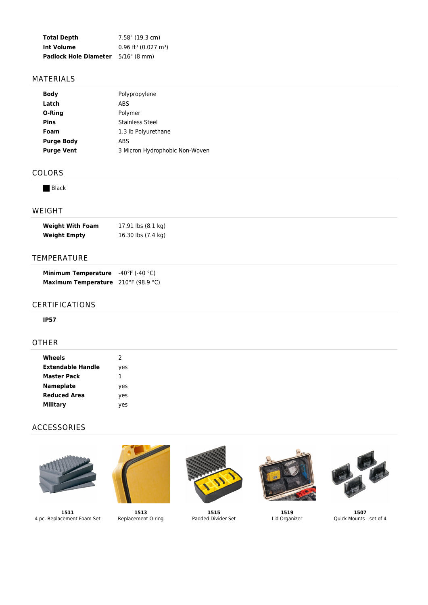| <b>Total Depth</b>           | 7.58" (19.3 cm)                                |
|------------------------------|------------------------------------------------|
| Int Volume                   | $0.96$ ft <sup>3</sup> (0.027 m <sup>3</sup> ) |
| <b>Padlock Hole Diameter</b> | $5/16$ " (8 mm)                                |

### MATERIALS

| <b>Body</b>       | Polypropylene                  |
|-------------------|--------------------------------|
| Latch             | ABS                            |
| O-Ring            | Polymer                        |
| Pins              | Stainless Steel                |
| Foam              | 1.3 lb Polyurethane            |
| <b>Purge Body</b> | ABS                            |
| <b>Purge Vent</b> | 3 Micron Hydrophobic Non-Woven |
|                   |                                |

## COLORS

**Black** 

### WEIGHT

| Weight With Foam | 17.91 $\mathsf{lbs}(8.1\ \mathsf{kq})$ |
|------------------|----------------------------------------|
| Weight Empty     | 16.30 lbs (7.4 kg)                     |

## TEMPERATURE

| <b>Minimum Temperature</b> $-40^{\circ}F$ (-40 $^{\circ}C$ ) |  |
|--------------------------------------------------------------|--|
| <b>Maximum Temperature</b> 210°F (98.9 °C)                   |  |

### CERTIFICATIONS

#### **IP57**

### OTHER

| Wheels                   | 2   |
|--------------------------|-----|
| <b>Extendable Handle</b> | yes |
| <b>Master Pack</b>       | 1   |
| <b>Nameplate</b>         | yes |
| <b>Reduced Area</b>      | yes |
| Military                 | ves |

### ACCESSORIES



**1511** 4 pc. Replacement Foam Set



**1513** Replacement O-ring



**1515** Padded Divider Set



**1519** Lid Organizer



**1507** Quick Mounts - set of 4